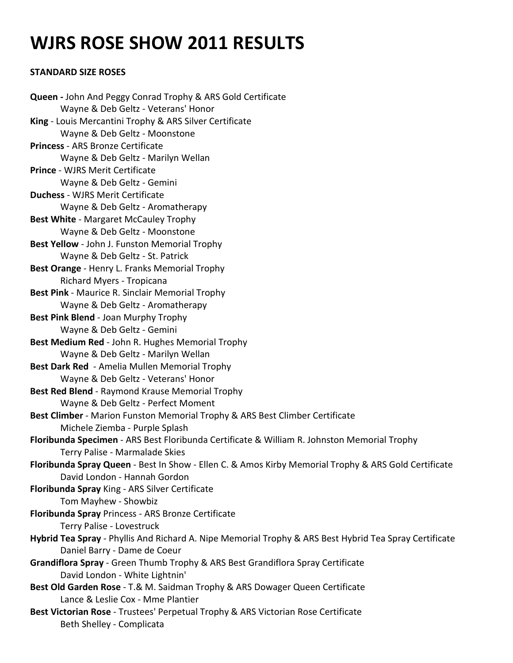# **WJRS ROSE SHOW 2011 RESULTS**

# **STANDARD SIZE ROSES**

**Queen -** John And Peggy Conrad Trophy & ARS Gold Certificate Wayne & Deb Geltz - Veterans' Honor **King** - Louis Mercantini Trophy & ARS Silver Certificate Wayne & Deb Geltz - Moonstone **Princess** - ARS Bronze Certificate Wayne & Deb Geltz - Marilyn Wellan **Prince** - WJRS Merit Certificate Wayne & Deb Geltz - Gemini **Duchess** - WJRS Merit Certificate Wayne & Deb Geltz - Aromatherapy **Best White** - Margaret McCauley Trophy Wayne & Deb Geltz - Moonstone **Best Yellow** - John J. Funston Memorial Trophy Wayne & Deb Geltz - St. Patrick **Best Orange** - Henry L. Franks Memorial Trophy Richard Myers - Tropicana **Best Pink** - Maurice R. Sinclair Memorial Trophy Wayne & Deb Geltz - Aromatherapy **Best Pink Blend** - Joan Murphy Trophy Wayne & Deb Geltz - Gemini **Best Medium Red** - John R. Hughes Memorial Trophy Wayne & Deb Geltz - Marilyn Wellan **Best Dark Red** - Amelia Mullen Memorial Trophy Wayne & Deb Geltz - Veterans' Honor **Best Red Blend** - Raymond Krause Memorial Trophy Wayne & Deb Geltz - Perfect Moment **Best Climber** - Marion Funston Memorial Trophy & ARS Best Climber Certificate Michele Ziemba - Purple Splash **Floribunda Specimen** - ARS Best Floribunda Certificate & William R. Johnston Memorial Trophy Terry Palise - Marmalade Skies **Floribunda Spray Queen** - Best In Show - Ellen C. & Amos Kirby Memorial Trophy & ARS Gold Certificate David London - Hannah Gordon **Floribunda Spray** King - ARS Silver Certificate Tom Mayhew - Showbiz **Floribunda Spray** Princess - ARS Bronze Certificate Terry Palise - Lovestruck **Hybrid Tea Spray** - Phyllis And Richard A. Nipe Memorial Trophy & ARS Best Hybrid Tea Spray Certificate Daniel Barry - Dame de Coeur **Grandiflora Spray** - Green Thumb Trophy & ARS Best Grandiflora Spray Certificate David London - White Lightnin' **Best Old Garden Rose** - T.& M. Saidman Trophy & ARS Dowager Queen Certificate Lance & Leslie Cox - Mme Plantier **Best Victorian Rose** - Trustees' Perpetual Trophy & ARS Victorian Rose Certificate Beth Shelley - Complicata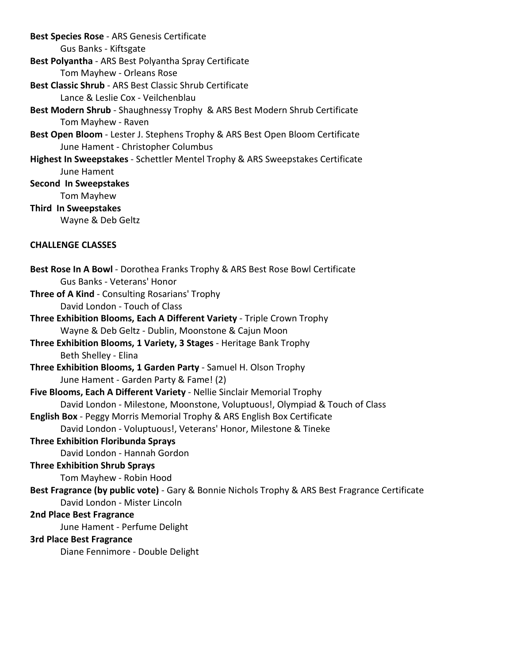**Best Species Rose** - ARS Genesis Certificate Gus Banks - Kiftsgate **Best Polyantha** - ARS Best Polyantha Spray Certificate Tom Mayhew - Orleans Rose **Best Classic Shrub** - ARS Best Classic Shrub Certificate Lance & Leslie Cox - Veilchenblau **Best Modern Shrub** - Shaughnessy Trophy & ARS Best Modern Shrub Certificate Tom Mayhew - Raven **Best Open Bloom** - Lester J. Stephens Trophy & ARS Best Open Bloom Certificate June Hament - Christopher Columbus **Highest In Sweepstakes** - Schettler Mentel Trophy & ARS Sweepstakes Certificate June Hament **Second In Sweepstakes** Tom Mayhew **Third In Sweepstakes** Wayne & Deb Geltz **CHALLENGE CLASSES Best Rose In A Bowl** - Dorothea Franks Trophy & ARS Best Rose Bowl Certificate Gus Banks - Veterans' Honor **Three of A Kind** - Consulting Rosarians' Trophy David London - Touch of Class **Three Exhibition Blooms, Each A Different Variety** - Triple Crown Trophy Wayne & Deb Geltz - Dublin, Moonstone & Cajun Moon **Three Exhibition Blooms, 1 Variety, 3 Stages** - Heritage Bank Trophy Beth Shelley - Elina **Three Exhibition Blooms, 1 Garden Party** - Samuel H. Olson Trophy June Hament - Garden Party & Fame! (2) **Five Blooms, Each A Different Variety** - Nellie Sinclair Memorial Trophy David London - Milestone, Moonstone, Voluptuous!, Olympiad & Touch of Class **English Box** - Peggy Morris Memorial Trophy & ARS English Box Certificate David London - Voluptuous!, Veterans' Honor, Milestone & Tineke **Three Exhibition Floribunda Sprays** David London - Hannah Gordon **Three Exhibition Shrub Sprays** Tom Mayhew - Robin Hood **Best Fragrance (by public vote)** - Gary & Bonnie Nichols Trophy & ARS Best Fragrance Certificate David London - Mister Lincoln **2nd Place Best Fragrance** June Hament - Perfume Delight **3rd Place Best Fragrance** Diane Fennimore - Double Delight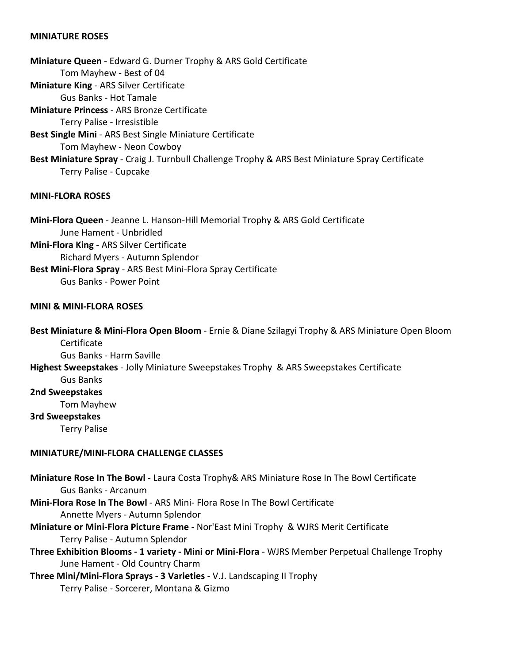# **MINIATURE ROSES**

**Miniature Queen** - Edward G. Durner Trophy & ARS Gold Certificate Tom Mayhew - Best of 04 **Miniature King** - ARS Silver Certificate Gus Banks - Hot Tamale **Miniature Princess** - ARS Bronze Certificate Terry Palise - Irresistible **Best Single Mini** - ARS Best Single Miniature Certificate Tom Mayhew - Neon Cowboy **Best Miniature Spray** - Craig J. Turnbull Challenge Trophy & ARS Best Miniature Spray Certificate Terry Palise - Cupcake

## **MINI-FLORA ROSES**

**Mini-Flora Queen** - Jeanne L. Hanson-Hill Memorial Trophy & ARS Gold Certificate June Hament - Unbridled **Mini-Flora King** - ARS Silver Certificate Richard Myers - Autumn Splendor **Best Mini-Flora Spray** - ARS Best Mini-Flora Spray Certificate Gus Banks - Power Point

### **MINI & MINI-FLORA ROSES**

**Best Miniature & Mini-Flora Open Bloom** - Ernie & Diane Szilagyi Trophy & ARS Miniature Open Bloom Certificate

Gus Banks - Harm Saville

# **Highest Sweepstakes** - Jolly Miniature Sweepstakes Trophy & ARS Sweepstakes Certificate

Gus Banks

**2nd Sweepstakes**

Tom Mayhew

#### **3rd Sweepstakes**

Terry Palise

#### **MINIATURE/MINI-FLORA CHALLENGE CLASSES**

**Miniature Rose In The Bowl** - Laura Costa Trophy& ARS Miniature Rose In The Bowl Certificate Gus Banks - Arcanum

**Mini-Flora Rose In The Bowl** - ARS Mini- Flora Rose In The Bowl Certificate Annette Myers - Autumn Splendor

- **Miniature or Mini-Flora Picture Frame** Nor'East Mini Trophy & WJRS Merit Certificate Terry Palise - Autumn Splendor
- **Three Exhibition Blooms 1 variety Mini or Mini-Flora** WJRS Member Perpetual Challenge Trophy June Hament - Old Country Charm

**Three Mini/Mini-Flora Sprays - 3 Varieties** - V.J. Landscaping II Trophy Terry Palise - Sorcerer, Montana & Gizmo